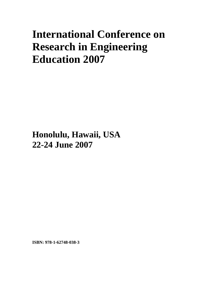# **International Conference on Research in Engineering Education 2007**

**Honolulu, Hawaii, USA 22-24 June 2007**

**ISBN: 978-1-62748-038-3**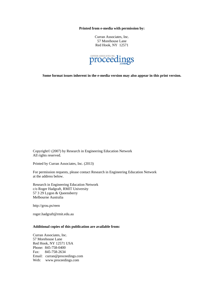**Printed from e-media with permission by:** 

Curran Associates, Inc. 57 Morehouse Lane Red Hook, NY 12571



**Some format issues inherent in the e-media version may also appear in this print version.** 

Copyright© (2007) by Research in Engineering Education Network All rights reserved.

Printed by Curran Associates, Inc. (2013)

For permission requests, please contact Research in Engineering Education Network at the address below.

Research in Engineering Education Network c/o Roger Hadgraft, RMIT University 57 3 29 Lygon & Queensberry Melbourne Australia

http://grou.ps/reen

roger.hadgraft@rmit.edu.au

## **Additional copies of this publication are available from:**

Curran Associates, Inc. 57 Morehouse Lane Red Hook, NY 12571 USA Phone: 845-758-0400 Fax: 845-758-2634 Email: curran@proceedings.com Web: www.proceedings.com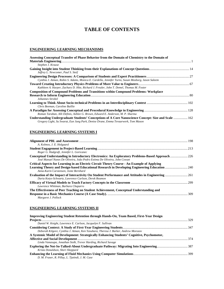# **TABLE OF CONTENTS**

## **ENGINEERING LEARNING MECHANISMS**

| Assessing Conceptual Transfer of Phase Behavior from the Domain of Chemistry to the Domain of                                                                                             |  |
|-------------------------------------------------------------------------------------------------------------------------------------------------------------------------------------------|--|
|                                                                                                                                                                                           |  |
| Stephen J. Krause                                                                                                                                                                         |  |
|                                                                                                                                                                                           |  |
| Jeffrey L. Newcomer, Paul S. Steif                                                                                                                                                        |  |
|                                                                                                                                                                                           |  |
| Cynthia J. Atman, Robin S. Adams, Monica E. Cardella, Jennifer Turns, Susan Mosborg, Jason Saleem                                                                                         |  |
|                                                                                                                                                                                           |  |
| Kathleen A. Harper, Zachary D. Hite, Richard J. Freuler, John T. Demel, Thomas M. Foster                                                                                                  |  |
| <b>Composition of Compound Problems and Transitions within Compound Problems: Workplace</b>                                                                                               |  |
|                                                                                                                                                                                           |  |
| Johannes Strobel                                                                                                                                                                          |  |
|                                                                                                                                                                                           |  |
| Chris Beeman, Caroline Baillie                                                                                                                                                            |  |
|                                                                                                                                                                                           |  |
| Roman Taraban, Alli Definis, Ashlee G. Brown, Edward E. Anderson, M. P. Sharma                                                                                                            |  |
| Understanding Undergraduate Students' Conceptions of A Core Nanoscience Concept: Size and Scale  162<br>Gregory Light, Su Swarat, Eun Jung Park, Denise Drane, Emma Tevaarwerk, Tom Mason |  |

## **ENGINEERING LEARNING SYSTEMS I**

| A. Kolmos, J. E. Holgaard                                                                                                                                                    |  |
|------------------------------------------------------------------------------------------------------------------------------------------------------------------------------|--|
|                                                                                                                                                                              |  |
| Roger G. Hadgraft, Jennifer L. Goricanec                                                                                                                                     |  |
| Conceptual Understanding in Introductory Electronics: An Exploratory Problems-Based Approach 226<br>José Manuel Nunes De Oliveira, João Pedro Estima De Oliveira, John Cowan |  |
| Critical Aspects for Learning in an Electric Circuit Theory Course - An Example of Applying                                                                                  |  |
| Learning Theory and Design-based Educational Research in Developing Engineering Education  240<br>Anna-Karin Carstensen, Jonte Bernhard                                      |  |
| Daria Kotys-Schwartz, Lawrence Carlson, Derek Reamon                                                                                                                         |  |
| Lawrence Whitman, Barbara Chaparro                                                                                                                                           |  |
| The Effectiveness of Peer Teaching on Student Achievement, Conceptual Understanding and                                                                                      |  |
|                                                                                                                                                                              |  |
| Margaret J. Pollock                                                                                                                                                          |  |

## **ENGINEERING LEARNING SYSTEMS II**

| <b>Improving Engineering Student Retention through Hands-On, Team Based, First-Year Design</b> |     |
|------------------------------------------------------------------------------------------------|-----|
|                                                                                                | 329 |
| Daniel W. Knight, Lawrence E. Carlson, Jacquelyn F. Sullivan                                   |     |
|                                                                                                |     |
| Deborah Kilgore, Cynthia J. Atman, Ken Yasuhara, Theresa J. Barker, Andrew Morozov             |     |
| A Systemic Model of Development: Strategically Enhancing Students' Cognitive, Psychomotor,     |     |
|                                                                                                |     |
| Linda Vanasupa, Jonathan Stolk, Trevor Harding, Richard Savage                                 |     |
|                                                                                                |     |
| Krista Donaldson, Sheri Sheppard                                                               |     |
|                                                                                                |     |
| D. M. Fraser, R. Pillay, L. Tjatindi, J. M. Case                                               |     |